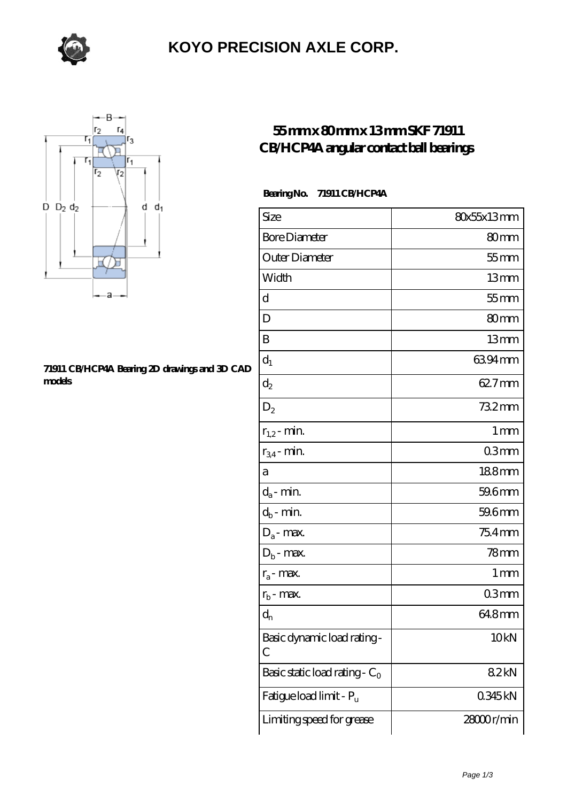

## **[KOYO PRECISION AXLE CORP.](https://m.sazsc.com)**



#### **[71911 CB/HCP4A Bearing 2D drawings and 3D CAD](https://m.sazsc.com/pic-169486.html) [models](https://m.sazsc.com/pic-169486.html)**

### **[55 mm x 80 mm x 13 mm SKF 71911](https://m.sazsc.com/au-169486-skf-71911-cb-hcp4a-angular-contact-ball-bearings.html) [CB/HCP4A angular contact ball bearings](https://m.sazsc.com/au-169486-skf-71911-cb-hcp4a-angular-contact-ball-bearings.html)**

### **Bearing No. 71911 CB/HCP4A**

| Size                             | 80x55x13mm       |
|----------------------------------|------------------|
| <b>Bore Diameter</b>             | 80mm             |
| Outer Diameter                   | $55$ mm          |
| Width                            | 13mm             |
| d                                | $55$ mm          |
| D                                | 80mm             |
| B                                | 13mm             |
| $d_1$                            | 6394mm           |
| $\mathrm{d}_2$                   | 62.7mm           |
| $D_2$                            | 732mm            |
| $r_{1,2}$ - min.                 | 1 <sub>mm</sub>  |
| $r_{34}$ - min.                  | 03mm             |
| а                                | 188mm            |
| $d_a$ - min.                     | 59.6mm           |
| $d_b$ - min.                     | 59.6mm           |
| $D_a$ - max.                     | 75.4mm           |
| $D_b$ - max.                     | 78mm             |
| $r_a$ - max.                     | 1 mm             |
| $r_{b}$ - max.                   | 03mm             |
| $d_{n}$                          | 64.8mm           |
| Basic dynamic load rating-<br>С  | 10 <sub>kN</sub> |
| Basic static load rating - $C_0$ | 82kN             |
| Fatigue load limit - Pu          | 0345kN           |
| Limiting speed for grease        | 28000r/min       |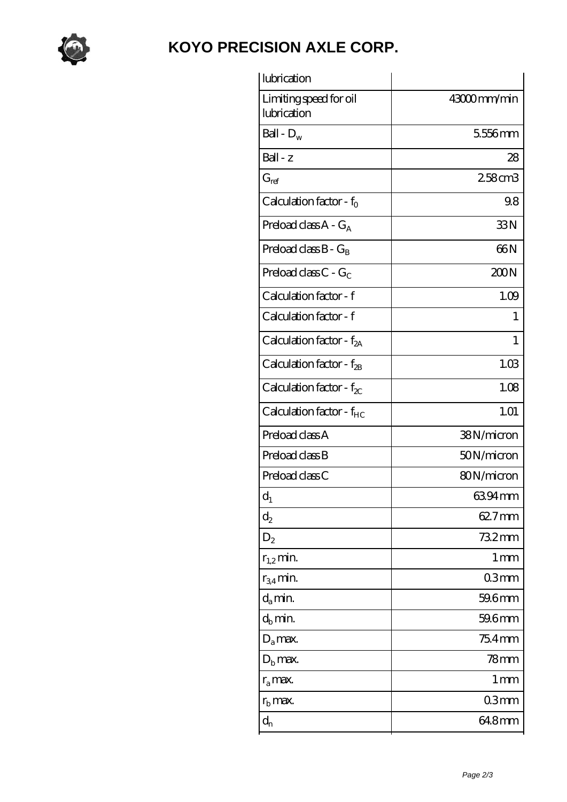

## **[KOYO PRECISION AXLE CORP.](https://m.sazsc.com)**

| lubrication                           |                 |
|---------------------------------------|-----------------|
| Limiting speed for oil<br>lubrication | 43000mm/min     |
| Ball - $\mathbf{D}_\mathrm{w}$        | 5556mm          |
| Ball - z                              | 28              |
| $G_{ref}$                             | 258cm3          |
| Calculation factor - $f_0$            | 98              |
| Preload class $A - G_A$               | 33N             |
| Preload class $B - G_B$               | 66N             |
| Preload class $C - G_C$               | 200N            |
| Calculation factor - f                | 1.09            |
| Calculation factor - f                | 1               |
| Calculation factor - $f_{2A}$         | 1               |
| Calculation factor - $f_{2B}$         | 1.03            |
| Calculation factor - $f_{\chi}$       | 1.08            |
| Calculation factor - $f_{HC}$         | 1.01            |
| Preload class A                       | 38N/micron      |
| Preload class B                       | 50N/micron      |
| Preload class C                       | 80N/micron      |
| $d_1$                                 | 6394mm          |
| $\mathrm{d}_2$                        | 62.7mm          |
| $D_2$                                 | 732mm           |
| $r_{1,2}$ min.                        | 1 <sub>mm</sub> |
| $r_{34}$ min.                         | 03mm            |
| $d_a$ min.                            | 59.6mm          |
| $d_b$ min.                            | 59.6mm          |
| $D_a$ max.                            | 75.4mm          |
| $D_{b}$ max.                          | $78$ mm         |
| $r_a$ max.                            | 1 mm            |
| $r_{\rm b}$ max.                      | 03mm            |
| $d_{n}$                               | 64.8mm          |